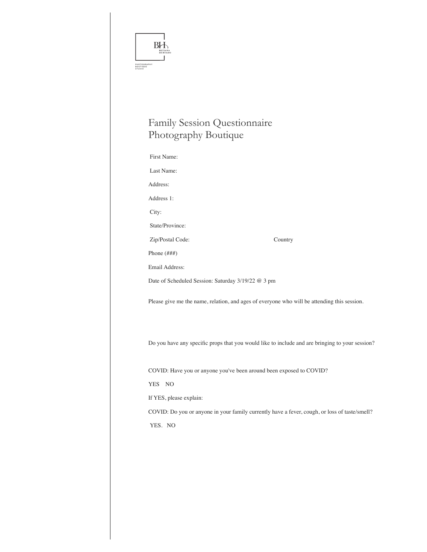| BOUTIQUE<br>STUDIO | BИ<br>PHOTOGRAPHY                                                                               |
|--------------------|-------------------------------------------------------------------------------------------------|
|                    | <b>Family Session Questionnaire</b>                                                             |
|                    | Photography Boutique                                                                            |
|                    | First Name:                                                                                     |
|                    | Last Name:                                                                                      |
|                    | Address:                                                                                        |
|                    | Address 1:                                                                                      |
|                    | City:                                                                                           |
|                    | State/Province:                                                                                 |
|                    | Country<br>Zip/Postal Code:                                                                     |
|                    | Phone $(\# \# \#)$                                                                              |
|                    | <b>Email Address:</b>                                                                           |
|                    | Date of Scheduled Session: Saturday 3/19/22 @ 3 pm                                              |
|                    | Please give me the name, relation, and ages of everyone who will be attending this session.     |
|                    | Do you have any specific props that you would like to include and are bringing to your session? |
|                    | COVID: Have you or anyone you've been around been exposed to COVID?                             |
|                    | YES NO                                                                                          |
|                    | If YES, please explain:                                                                         |
|                    | COVID: Do you or anyone in your family currently have a fever, cough, or loss of taste/smell?   |
|                    | YES. NO                                                                                         |
|                    |                                                                                                 |
|                    |                                                                                                 |